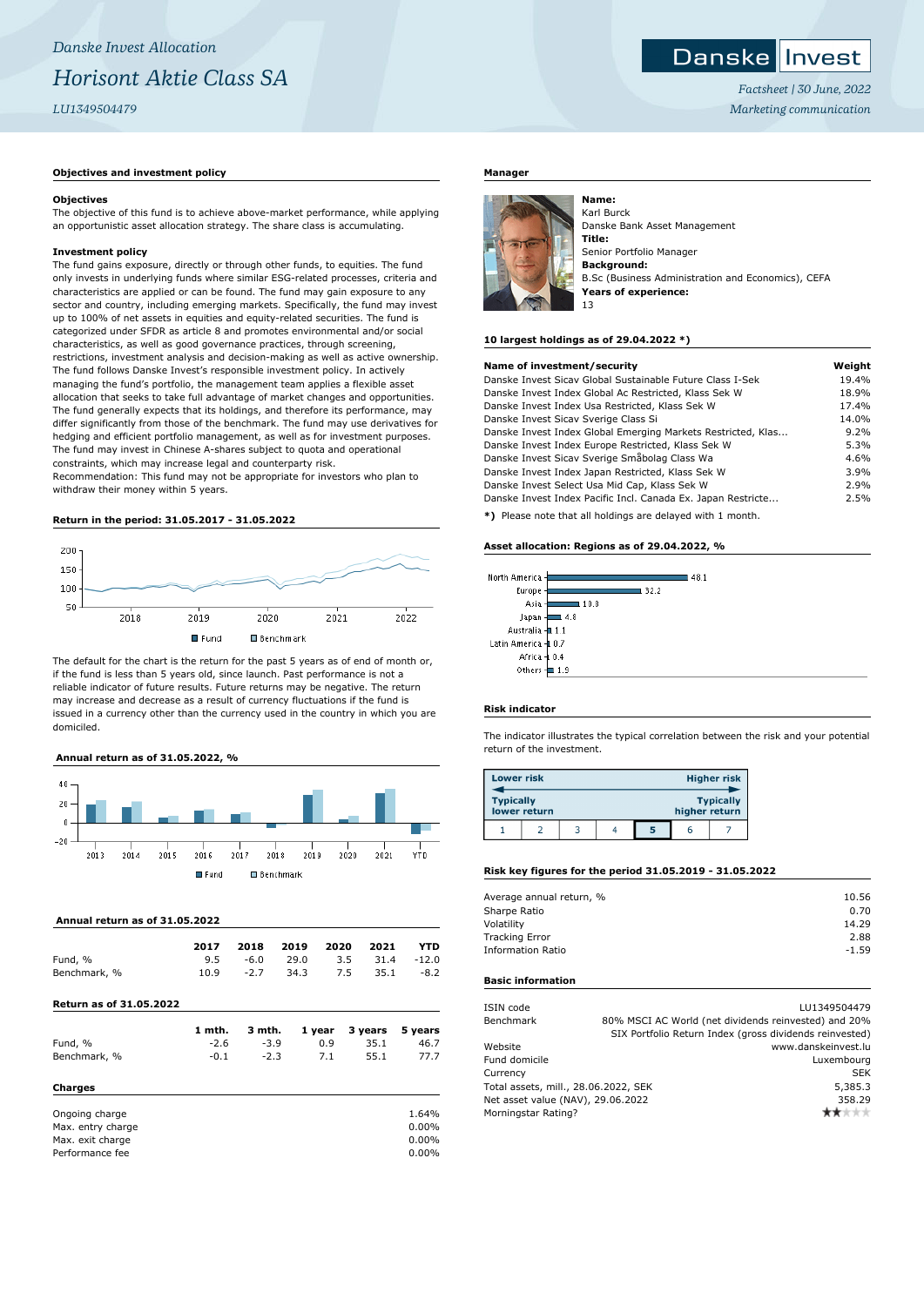# **Danske Invest**

*Factsheet | 30 June, 2022 Marketing communication*

# **Objectives and investment policy**

#### **Objectives**

The objective of this fund is to achieve above-market performance, while applying an opportunistic asset allocation strategy. The share class is accumulating.

#### **Investment policy**

The fund gains exposure, directly or through other funds, to equities. The fund only invests in underlying funds where similar ESG-related processes, criteria and characteristics are applied or can be found. The fund may gain exposure to any sector and country, including emerging markets. Specifically, the fund may invest up to 100% of net assets in equities and equity-related securities. The fund is categorized under SFDR as article 8 and promotes environmental and/or social characteristics, as well as good governance practices, through screening, restrictions, investment analysis and decision-making as well as active ownership. The fund follows Danske Invest's responsible investment policy. In actively managing the fund's portfolio, the management team applies a flexible asset allocation that seeks to take full advantage of market changes and opportunities. The fund generally expects that its holdings, and therefore its performance, may differ significantly from those of the benchmark. The fund may use derivatives for hedging and efficient portfolio management, as well as for investment purposes. The fund may invest in Chinese A-shares subject to quota and operational constraints, which may increase legal and counterparty risk.

Recommendation: This fund may not be appropriate for investors who plan to withdraw their money within 5 years.

# **Return in the period: 31.05.2017 - 31.05.2022**



The default for the chart is the return for the past 5 years as of end of month or, if the fund is less than 5 years old, since launch. Past performance is not a reliable indicator of future results. Future returns may be negative. The return may increase and decrease as a result of currency fluctuations if the fund is issued in a currency other than the currency used in the country in which you are domiciled.

# **Annual return as of 31.05.2022, %**



# **Annual return as of 31.05.2022**

|                                | 2017   | 2018   | 2019 | 2020   | 2021    | <b>YTD</b> |
|--------------------------------|--------|--------|------|--------|---------|------------|
| Fund, %                        | 9.5    | $-6.0$ | 29.0 | 3.5    | 31.4    | $-12.0$    |
| Benchmark, %                   | 10.9   | $-2.7$ | 34.3 | 7.5    | 35.1    | $-8.2$     |
| <b>Return as of 31.05.2022</b> |        |        |      |        |         |            |
|                                | 1 mth. | 3 mth. |      | 1 year | 3 years | 5 years    |
| Fund, %                        | $-2.6$ | $-3.9$ |      | 0.9    | 35.1    | 46.7       |
| Benchmark, %                   | $-0.1$ | $-2.3$ |      | 7.1    | 55.1    | 77.7       |
| <b>Charges</b>                 |        |        |      |        |         |            |
| Ongoing charge                 |        |        |      |        |         | 1.64%      |
| Max. entry charge              |        |        |      |        |         | 0.00%      |

Max. exit charge 0.00% Performance fee 0.00%

### **Manager**



Karl Burck Danske Bank Asset Management **Title:** Senior Portfolio Manager **Background:** B.Sc (Business Administration and Economics), CEFA **Years of experience:** 13

#### **10 largest holdings as of 29.04.2022 \*)**

| Name of investment/security                                  | Weight |
|--------------------------------------------------------------|--------|
| Danske Invest Sicay Global Sustainable Future Class I-Sek    | 19.4%  |
| Danske Invest Index Global Ac Restricted, Klass Sek W        | 18.9%  |
| Danske Invest Index Usa Restricted, Klass Sek W              | 17.4%  |
| Danske Invest Sicav Sverige Class Si                         | 14.0%  |
| Danske Invest Index Global Emerging Markets Restricted, Klas | 9.2%   |
| Danske Invest Index Europe Restricted, Klass Sek W           | 5.3%   |
| Danske Invest Sicav Sverige Småbolag Class Wa                | 4.6%   |
| Danske Invest Index Japan Restricted, Klass Sek W            | 3.9%   |
| Danske Invest Select Usa Mid Cap, Klass Sek W                | 2.9%   |
| Danske Invest Index Pacific Incl. Canada Ex. Japan Restricte | 2.5%   |
| *1 Please note that all holdings are delayed with 1 month    |        |

**\*)** Please note that all holdings are delayed with 1 month.

### **Asset allocation: Regions as of 29.04.2022, %**

| North America   | 481  |
|-----------------|------|
| Europe          | 32.2 |
| Asia            | 10.8 |
| Japan           | 4.8  |
| Australia-      | 1.1  |
| Latin America - | 0.7  |
| Africa -        | 0.4  |
| Others          | 1.9  |

# **Risk indicator**

The indicator illustrates the typical correlation between the risk and your potential return of the investment.

| <b>Lower risk</b> |              |  |   |               | <b>Higher risk</b> |
|-------------------|--------------|--|---|---------------|--------------------|
| <b>Typically</b>  | lower return |  |   | higher return | <b>Typically</b>   |
|                   |              |  | 5 |               |                    |

#### **Risk key figures for the period 31.05.2019 - 31.05.2022**

| Average annual return, % | 10.56   |
|--------------------------|---------|
| Sharpe Ratio             | 0.70    |
| Volatility               | 14.29   |
| <b>Tracking Error</b>    | 2.88    |
| <b>Information Ratio</b> | $-1.59$ |
|                          |         |

#### **Basic information**

| ISIN code                            | LU1349504479                                            |
|--------------------------------------|---------------------------------------------------------|
| Benchmark                            | 80% MSCI AC World (net dividends reinvested) and 20%    |
|                                      | SIX Portfolio Return Index (gross dividends reinvested) |
| Website                              | www.danskeinvest.lu                                     |
| Fund domicile                        | Luxembourg                                              |
| Currency                             | <b>SEK</b>                                              |
| Total assets, mill., 28.06.2022, SEK | 5,385.3                                                 |
| Net asset value (NAV), 29.06.2022    | 358.29                                                  |
| Morningstar Rating?                  | ŀж                                                      |
|                                      |                                                         |